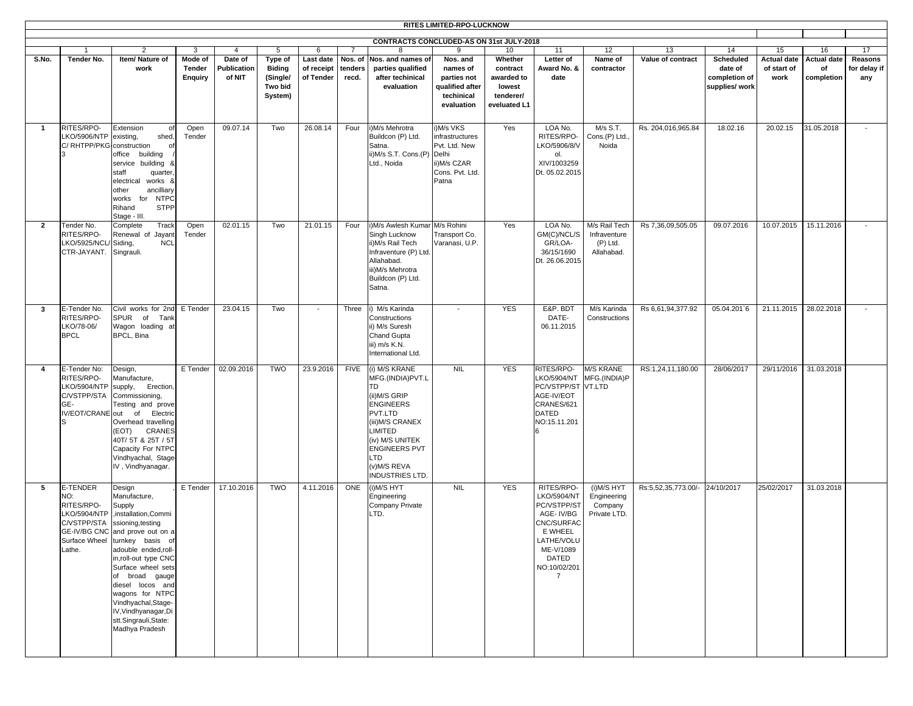| RITES LIMITED-RPO-LUCKNOW |                                                                                           |                                                                                                                                                                                                                                                                                                                                                                             |                                     |                                  |                                                            |                                      |                             |                                                                                                                                                                                                                                       |                                                                                                   |                                                                          |                                                                                                                                                      |                                                           |                                |                                                         |                                           |                                        |                                |
|---------------------------|-------------------------------------------------------------------------------------------|-----------------------------------------------------------------------------------------------------------------------------------------------------------------------------------------------------------------------------------------------------------------------------------------------------------------------------------------------------------------------------|-------------------------------------|----------------------------------|------------------------------------------------------------|--------------------------------------|-----------------------------|---------------------------------------------------------------------------------------------------------------------------------------------------------------------------------------------------------------------------------------|---------------------------------------------------------------------------------------------------|--------------------------------------------------------------------------|------------------------------------------------------------------------------------------------------------------------------------------------------|-----------------------------------------------------------|--------------------------------|---------------------------------------------------------|-------------------------------------------|----------------------------------------|--------------------------------|
|                           | CONTRACTS CONCLUDED-AS ON 31st JULY-2018                                                  |                                                                                                                                                                                                                                                                                                                                                                             |                                     |                                  |                                                            |                                      |                             |                                                                                                                                                                                                                                       |                                                                                                   |                                                                          |                                                                                                                                                      |                                                           |                                |                                                         |                                           |                                        |                                |
|                           |                                                                                           | $\overline{2}$                                                                                                                                                                                                                                                                                                                                                              | 3                                   | $\overline{4}$                   | 5                                                          | 6                                    | $\overline{7}$              |                                                                                                                                                                                                                                       | 9                                                                                                 | 10                                                                       | 11                                                                                                                                                   | 12                                                        | 13                             | 14                                                      | 15                                        | 16                                     | 17                             |
| S.No.                     | Tender No.                                                                                | Item/ Nature of<br>work                                                                                                                                                                                                                                                                                                                                                     | Mode of<br>Tender<br><b>Enquiry</b> | Date of<br>Publication<br>of NIT | Type of<br><b>Biding</b><br>(Single/<br>Two bid<br>System) | Last date<br>of receipt<br>of Tender | Nos. of<br>tenders<br>recd. | Nos. and names of<br>parties qualified<br>after techinical<br>evaluation                                                                                                                                                              | Nos. and<br>names of<br>parties not<br>qualified after<br>techinical<br>evaluation                | Whether<br>contract<br>awarded to<br>lowest<br>tenderer/<br>eveluated L1 | Letter of<br>Award No. &<br>date                                                                                                                     | Name of<br>contractor                                     | Value of contract              | Scheduled<br>date of<br>completion of<br>supplies/ work | <b>Actual date</b><br>of start of<br>work | <b>Actual date</b><br>of<br>completion | Reasons<br>for delay if<br>any |
| -1                        | RITES/RPO-<br>LKO/5906/NTP<br>C/ RHTPP/PKG                                                | Extension<br>of<br>existing,<br>shed<br>construction<br>of<br>office building<br>service building &<br>staff<br>quarter<br>electrical<br>works 8<br>other<br>ancilliary<br><b>NTPC</b><br>works<br>for<br><b>STPP</b><br>Rihand<br>Stage - III.                                                                                                                             | Open<br>Tender                      | 09.07.14                         | Two                                                        | 26.08.14                             | Four                        | i)M/s Mehrotra<br>Buildcon (P) Ltd.<br>Satna.<br>ii)M/s S.T. Cons.(P)<br>Ltd., Noida                                                                                                                                                  | i)M/s VKS<br>infrastructures<br>Pvt. Ltd. New<br>Delhi<br>ii)M/s CZAR<br>Cons. Pvt. Ltd.<br>Patna | Yes                                                                      | LOA No.<br>RITES/RPO-<br>LKO/5906/8/V<br>ol.<br>XIV/1003259<br>Dt. 05.02.2015                                                                        | M/s S.T.<br>Cons.(P) Ltd.<br>Noida                        | Rs. 204,016,965.84             | 18.02.16                                                | 20.02.15                                  | 31.05.2018                             |                                |
| $\overline{2}$            | Tender No.<br>RITES/RPO-<br>LKO/5925/NCL<br>CTR-JAYANT.                                   | Track<br>Complete<br>Renewal of<br>Jayant<br>Siding,<br><b>NCL</b><br>Singrauli.                                                                                                                                                                                                                                                                                            | Open<br>Tender                      | 02.01.15                         | Two                                                        | 21.01.15                             | Four                        | i)M/s Awlesh Kumar M/s Rohini<br>Singh Lucknow<br>ii) M/s Rail Tech<br>Infraventure (P) Ltd.<br>Allahabad.<br>iii)M/s Mehrotra<br>Buildcon (P) Ltd.<br>Satna.                                                                         | Transport Co.<br>Varanasi, U.P.                                                                   | Yes                                                                      | LOA No.<br>GM(C)/NCL/S<br>GR/LOA-<br>36/15/1690<br>Dt. 26.06.2015                                                                                    | M/s Rail Tech<br>Infraventure<br>$(P)$ Ltd.<br>Allahabad. | Rs 7,36,09,505.05              | 09.07.2016                                              | 10.07.2015                                | 15.11.2016                             |                                |
| 3                         | E-Tender No.<br>RITES/RPO-<br>LKO/78-06/<br><b>BPCL</b>                                   | Civil works for 2nd<br>SPUR of<br>Tank<br>Wagon loading at<br>BPCL, Bina                                                                                                                                                                                                                                                                                                    | E Tender                            | 23.04.15                         | Two                                                        | $\overline{\phantom{a}}$             | Three                       | i) M/s Karinda<br>Constructions<br>ii) M/s Suresh<br><b>Chand Gupta</b><br>iii) m/s K.N.<br>International Ltd.                                                                                                                        |                                                                                                   | <b>YES</b>                                                               | E&P. BDT<br>DATE-<br>06.11.2015                                                                                                                      | M/s Karinda<br>Constructions                              | Rs 6,61,94,377.92              | 05.04.201`6                                             | 21.11.2015                                | 28.02.2018                             |                                |
| $\overline{4}$            | E-Tender No:<br>RITES/RPO-<br>LKO/5904/NTP<br>C/VSTPP/STA<br>GE-<br>IV/EOT/CRANE out<br>S | Design,<br>Manufacture,<br>supply,<br>Erection,<br>Commissioning,<br>Testing and prove<br>Electric<br>of<br>Overhead travelling<br>(EOT)<br><b>CRANES</b><br>40T/ 5T & 25T / 5T<br>Capacity For NTPC<br>Vindhyachal, Stage<br>IV, Vindhyanagar.                                                                                                                             | E Tender                            | 02.09.2016                       | <b>TWO</b>                                                 | 23.9.2016                            | <b>FIVE</b>                 | (i) M/S KRANE<br>MFG.(INDIA)PVT.L<br><b>TD</b><br>(ii)M/S GRIP<br><b>ENGINEERS</b><br>PVT.LTD<br>(iii) M/S CRANEX<br><b>LIMITED</b><br>(iv) M/S UNITEK<br><b>ENGINEERS PVT</b><br><b>LTD</b><br>(v)M/S REVA<br><b>INDUSTRIES LTD.</b> | <b>NIL</b>                                                                                        | <b>YES</b>                                                               | RITES/RPO-<br>LKO/5904/NT<br>PC/VSTPP/ST VT.LTD<br>AGE-IV/EOT<br>CRANES/621<br><b>DATED</b><br>NO:15.11.201                                          | <b>M/S KRANE</b><br>MFG.(INDIA)P                          | RS:1,24,11,180.00              | 28/06/2017                                              | 29/11/2016                                | 31.03.2018                             |                                |
| 5                         | E-TENDER<br>NO:<br>RITES/RPO-<br><b>LKO/5904/NTP</b><br>C/VSTPP/STA<br>Lathe.             | Design<br>Manufacture,<br>Supply<br>,installation, Commi<br>ssioning, testing<br>GE-IV/BG CNC and prove out on a<br>Surface Wheel turnkey basis of<br>adouble ended, roll-<br>in, roll-out type CNC<br>Surface wheel sets<br>of broad gauge<br>diesel locos and<br>wagons for NTPC<br>Vindhyachal, Stage-<br>IV, Vindhyanagar, Di<br>stt.Singrauli,State:<br>Madhya Pradesh | E Tender                            | 17.10.2016                       | <b>TWO</b>                                                 | 4.11.2016                            | ONE                         | (i) M/S HYT<br>Engineering<br>Company Private<br>LTD.                                                                                                                                                                                 | <b>NIL</b>                                                                                        | <b>YES</b>                                                               | RITES/RPO-<br>LKO/5904/NT<br>PC/VSTPP/ST<br>AGE-IV/BG<br>CNC/SURFAC<br>E WHEEL<br>LATHE/VOLU<br>ME-V/1089<br>DATED<br>NO:10/02/201<br>$\overline{7}$ | (i) M/S HYT<br>Engineering<br>Company<br>Private LTD.     | Rs:5,52,35,773.00/- 24/10/2017 |                                                         | 25/02/2017                                | 31.03.2018                             |                                |